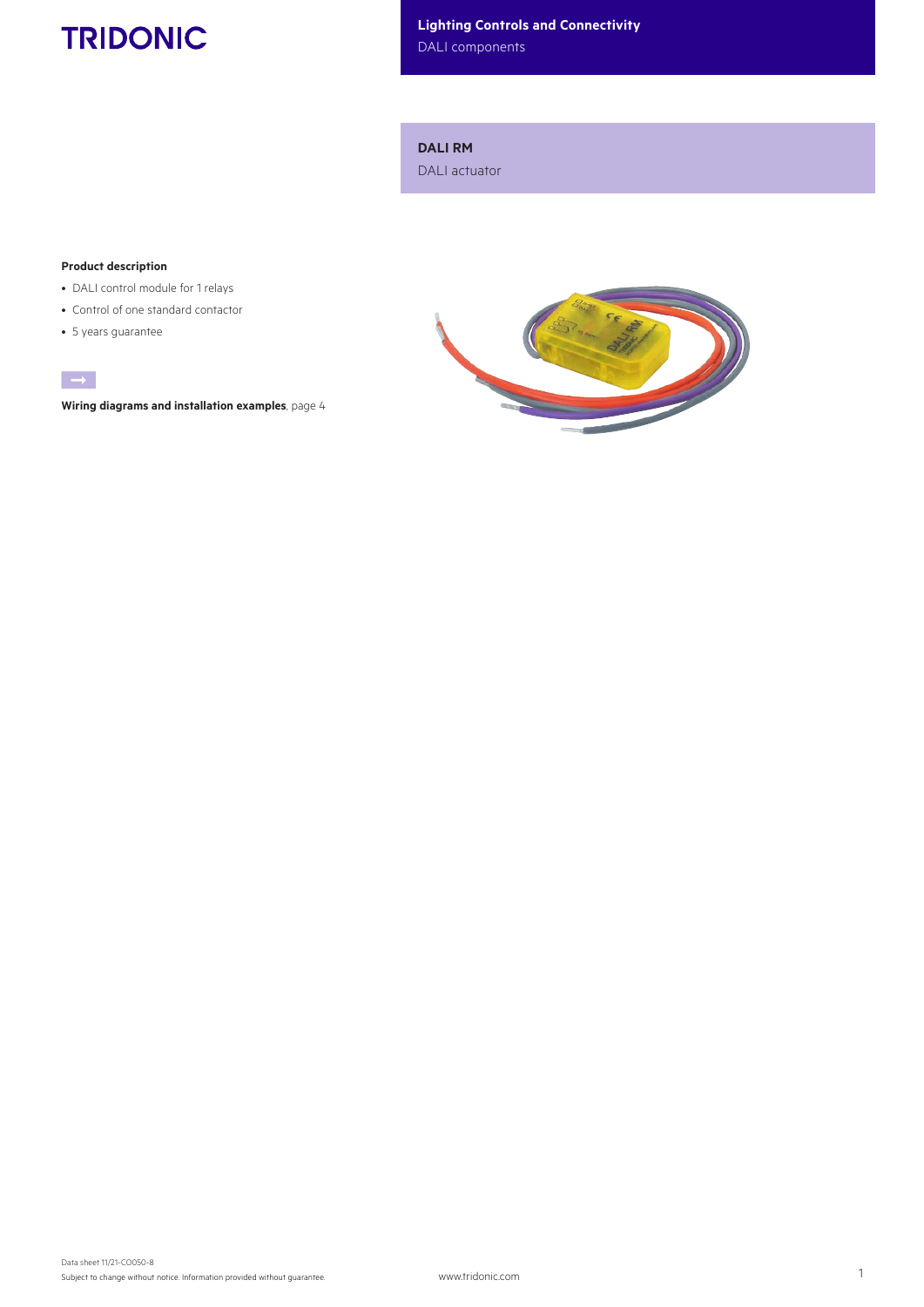# **TRIDONIC**

Lighting Controls and Connectivity

DALI components

DALI RM

DALI actuator

### Product description

- DALI control module for 1 relays
- Control of one standard contactor
- 5 years guarantee



Wiring diagrams and installation examples, page 4

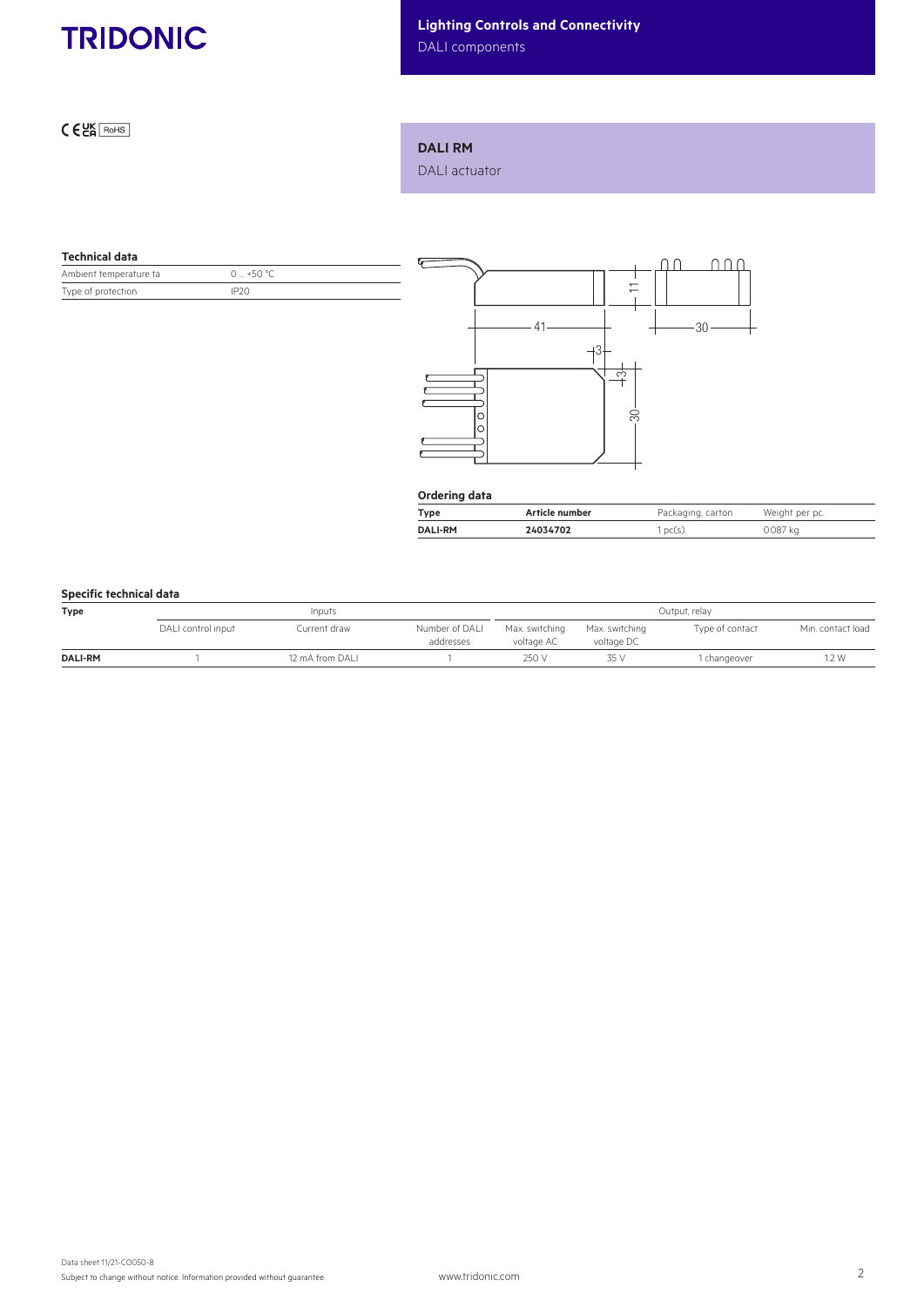

# Lighting Controls and Connectivity

DALI components

 $C<sub>ER</sub>$  RoHS

### DALI RM

DALI actuator

#### Technical data

| Ambient temperature ta | 0 $+50 °C$       |
|------------------------|------------------|
| Type of protection     | IP <sub>20</sub> |



| Ordering data  |                |                   |                |  |  |  |
|----------------|----------------|-------------------|----------------|--|--|--|
| Type           | Article number | Packaging, carton | Weight per pc. |  |  |  |
| <b>DALI-RM</b> | 24034702       | $1pc(s)$ .        | 0.087 kg       |  |  |  |

# Specific technical data

| <b>Type</b>    | Inputs             |                 |                             | Output, relay                |                              |                 |                   |
|----------------|--------------------|-----------------|-----------------------------|------------------------------|------------------------------|-----------------|-------------------|
|                | DALI control input | Current draw    | Number of DALI<br>addresses | Max. switching<br>voltage AC | Max. switching<br>voltage DC | Type of contact | Min. contact load |
| <b>DALI-RM</b> |                    | 12 mA from DALI |                             | 250 V                        | 35 V                         | 1 changeover    | i.2 W             |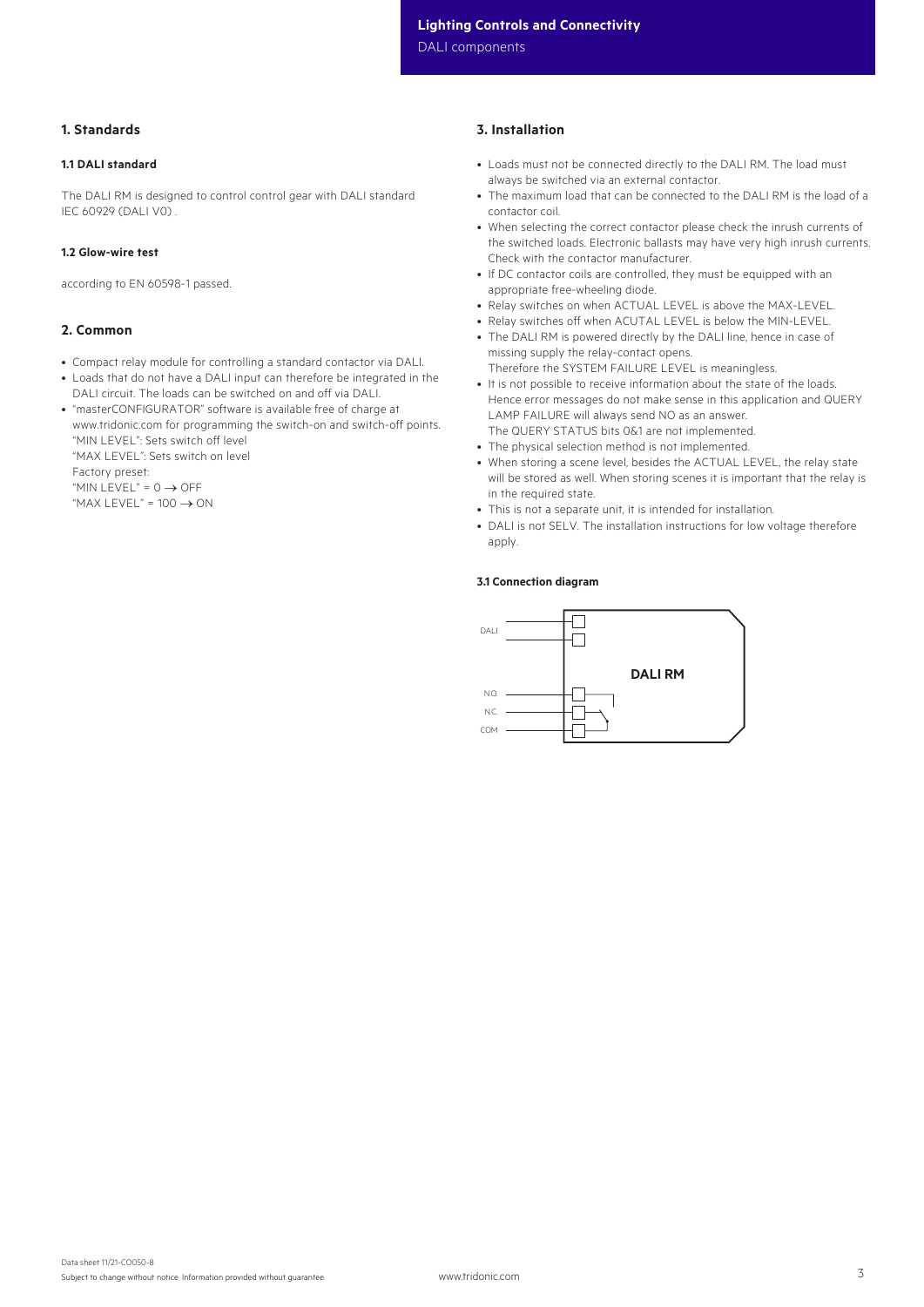DALI components

# 1. Standards

#### 1.1 DALI standard

The DALI RM is designed to control control gear with DALI standard IEC 60929 (DALI V0) .

#### 1.2 Glow-wire test

according to EN 60598-1 passed.

#### 2. Common

- Compact relay module for controlling a standard contactor via DALI.
- Loads that do not have a DALI input can therefore be integrated in the DALI circuit. The loads can be switched on and off via DALI.
- "masterCONFIGURATOR" software is available free of charge at www.tridonic.com for programming the switch-on and switch-off points. "MIN LEVEL": Sets switch off level "MAX LEVEL": Sets switch on level Factory preset: "MIN LEVEL" =  $0 \rightarrow$  OFF

"MAX LEVEL" =  $100 \rightarrow ON$ 

## 3. Installation

- Loads must not be connected directly to the DALI RM. The load must always be switched via an external contactor.
- The maximum load that can be connected to the DALI RM is the load of a contactor coil.
- When selecting the correct contactor please check the inrush currents of the switched loads. Electronic ballasts may have very high inrush currents. Check with the contactor manufacturer.
- If DC contactor coils are controlled, they must be equipped with an appropriate free-wheeling diode.
- Relay switches on when ACTUAL LEVEL is above the MAX-LEVEL.
- Relay switches off when ACUTAL LEVEL is below the MIN-LEVEL.
- The DALI RM is powered directly by the DALI line, hence in case of missing supply the relay-contact opens. Therefore the SYSTEM FAILURE LEVEL is meaningless.
- It is not possible to receive information about the state of the loads. Hence error messages do not make sense in this application and QUERY LAMP FAILURE will always send NO as an answer. The QUERY STATUS bits 0&1 are not implemented.
- The physical selection method is not implemented.
- When storing a scene level, besides the ACTUAL LEVEL, the relay state will be stored as well. When storing scenes it is important that the relay is in the required state.
- This is not a separate unit, it is intended for installation.
- DALI is not SELV. The installation instructions for low voltage therefore apply.

#### 3.1 Connection diagram